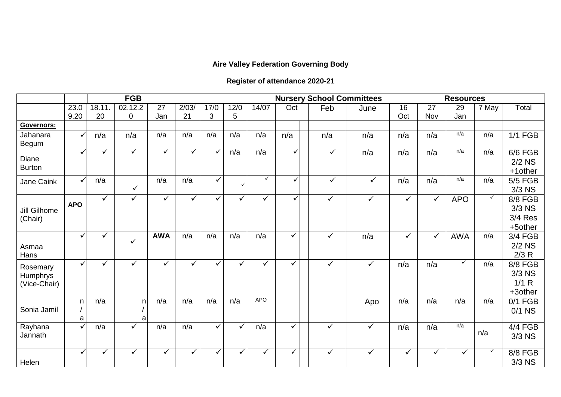## **Aire Valley Federation Governing Body**

## **Register of attendance 2020-21**

|                                             |              | <b>FGB</b>   |              |              |       |              |              |              | <b>Nursery School Committees</b> |  |              |              |              | <b>Resources</b> |              |              |                                                |  |
|---------------------------------------------|--------------|--------------|--------------|--------------|-------|--------------|--------------|--------------|----------------------------------|--|--------------|--------------|--------------|------------------|--------------|--------------|------------------------------------------------|--|
|                                             | 23.0         | 18.11.       | 02.12.2      | 27           | 2/03/ | 17/0         | 12/0         | 14/07        | Oct                              |  | Feb          | June         | 16           | 27               | 29           | 7 May        | Total                                          |  |
|                                             | 9.20         | 20           | 0            | Jan          | 21    | 3            | 5            |              |                                  |  |              |              | Oct          | Nov              | Jan          |              |                                                |  |
| <b>Governors:</b>                           |              |              |              |              |       |              |              |              |                                  |  |              |              |              |                  |              |              |                                                |  |
| Jahanara<br><b>Begum</b>                    | $\checkmark$ | n/a          | n/a          | n/a          | n/a   | n/a          | n/a          | n/a          | n/a                              |  | n/a          | n/a          | n/a          | n/a              | n/a          | n/a          | <b>1/1 FGB</b>                                 |  |
| Diane<br><b>Burton</b>                      |              | ✓            | $\checkmark$ | $\checkmark$ | ✓     | $\checkmark$ | n/a          | n/a          | ✓                                |  | $\checkmark$ | n/a          | n/a          | n/a              | n/a          | n/a          | 6/6 FGB<br>$2/2$ NS<br>+1 other                |  |
| Jane Caink                                  | ✓            | n/a          | $\checkmark$ | n/a          | n/a   | $\checkmark$ | $\checkmark$ | $\checkmark$ | ✓                                |  | $\checkmark$ | $\checkmark$ | n/a          | n/a              | n/a          | n/a          | 5/5 FGB<br>$3/3$ NS                            |  |
| Jill Gilhome<br>(Chair)                     | <b>APO</b>   | $\checkmark$ | $\checkmark$ | $\checkmark$ | ✓     | $\checkmark$ | $\checkmark$ | $\checkmark$ | ✓                                |  | $\checkmark$ | $\checkmark$ | $\checkmark$ | $\checkmark$     | <b>APO</b>   | $\checkmark$ | <b>8/8 FGB</b><br>3/3 NS<br>3/4 Res<br>+5other |  |
| Asmaa<br>Hans                               | ✓            | ✓            | $\checkmark$ | <b>AWA</b>   | n/a   | n/a          | n/a          | n/a          | $\checkmark$                     |  | $\checkmark$ | n/a          | $\checkmark$ | $\checkmark$     | <b>AWA</b>   | n/a          | 3/4 FGB<br>$2/2$ NS<br>2/3 R                   |  |
| Rosemary<br><b>Humphrys</b><br>(Vice-Chair) | ✓            | ✓            | ✓            | $\checkmark$ | ✓     | ✓            | ✓            | ✓            | ✓                                |  | ✓            | $\checkmark$ | n/a          | n/a              | $\checkmark$ | n/a          | <b>8/8 FGB</b><br>3/3 NS<br>1/1 R<br>+3other   |  |
| Sonia Jamil                                 | n<br>a       | n/a          | n.<br>a      | n/a          | n/a   | n/a          | n/a          | <b>APO</b>   |                                  |  |              | Apo          | n/a          | n/a              | n/a          | n/a          | $0/1$ FGB<br>$0/1$ NS                          |  |
| Rayhana<br>Jannath                          | V            | n/a          | ✓            | n/a          | n/a   | $\checkmark$ | ✓            | n/a          | ✓                                |  | ✓            | $\checkmark$ | n/a          | n/a              | n/a          | n/a          | <b>4/4 FGB</b><br>3/3 NS                       |  |
| Helen                                       | ✓            | ✓            | $\checkmark$ | $\checkmark$ | ✓     | $\checkmark$ | ✓            | ✓            | ✓                                |  | ✓            | $\checkmark$ | $\checkmark$ | ✓                | ✓            | ✓            | 8/8 FGB<br>3/3 NS                              |  |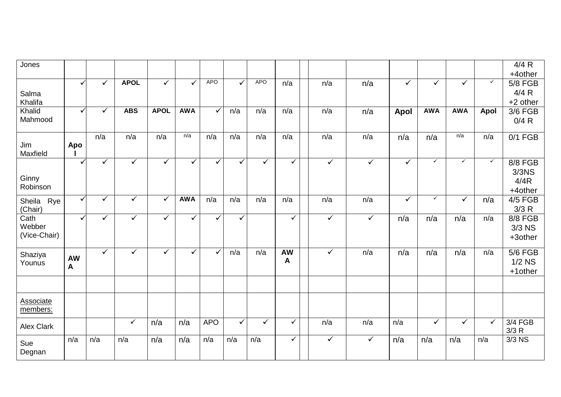| Jones             |              |              |              |              |              |              |              |            |              |              |              |              |              |              |              | 4/4 R            |
|-------------------|--------------|--------------|--------------|--------------|--------------|--------------|--------------|------------|--------------|--------------|--------------|--------------|--------------|--------------|--------------|------------------|
|                   |              |              |              |              |              |              |              |            |              |              |              |              |              |              |              | +4other          |
|                   | $\checkmark$ | $\checkmark$ | <b>APOL</b>  | $\checkmark$ | ✓            | <b>APO</b>   | ✓            | <b>APO</b> | n/a          | n/a          | n/a          | $\checkmark$ | $\checkmark$ | $\checkmark$ | $\checkmark$ | 5/8 FGB          |
| Salma             |              |              |              |              |              |              |              |            |              |              |              |              |              |              |              | 4/4 R            |
| Khalifa           |              |              |              |              |              |              |              |            |              |              |              |              |              |              |              | +2 other         |
| Khalid            | ✓            | $\checkmark$ | <b>ABS</b>   | <b>APOL</b>  | <b>AWA</b>   | $\checkmark$ | n/a          | n/a        | n/a          | n/a          | n/a          | <b>Apol</b>  | <b>AWA</b>   | <b>AWA</b>   | <b>Apol</b>  | $3/6$ FGB        |
| Mahmood           |              |              |              |              |              |              |              |            |              |              |              |              |              |              |              | 0/4 R            |
|                   |              | n/a          | n/a          | n/a          | n/a          | n/a          | n/a          | n/a        | n/a          | n/a          | n/a          |              |              | n/a          | n/a          |                  |
| Jim               | Apo          |              |              |              |              |              |              |            |              |              |              | n/a          | n/a          |              |              | $0/1$ FGB        |
| Maxfield          |              |              |              |              |              |              |              |            |              |              |              |              |              |              |              |                  |
|                   | ✓            | $\checkmark$ | $\checkmark$ | ✓            | ✓            | $\checkmark$ | $\checkmark$ | ✓          | $\checkmark$ | $\checkmark$ | $\checkmark$ | $\checkmark$ | $\checkmark$ | $\checkmark$ | $\checkmark$ | 8/8 FGB          |
|                   |              |              |              |              |              |              |              |            |              |              |              |              |              |              |              | 3/3 <sub>N</sub> |
| Ginny             |              |              |              |              |              |              |              |            |              |              |              |              |              |              |              | 4/4R             |
| Robinson          |              |              |              |              |              |              |              |            |              |              |              |              |              |              |              | +4other          |
| Sheila Rye        | $\checkmark$ | $\checkmark$ | $\checkmark$ | $\checkmark$ | <b>AWA</b>   | n/a          | n/a          | n/a        | n/a          | n/a          | n/a          | $\checkmark$ | $\checkmark$ | $\checkmark$ | n/a          | $4/5$ FGB        |
| (Chair)           |              |              |              |              |              |              |              |            |              |              |              |              |              |              |              | 3/3 R            |
| Cath              | ✓            | $\checkmark$ | $\checkmark$ | ✓            | ✓            | ✓            | $\checkmark$ |            | $\checkmark$ | $\checkmark$ | $\checkmark$ | n/a          | n/a          | n/a          | n/a          | 8/8 FGB          |
| Webber            |              |              |              |              |              |              |              |            |              |              |              |              |              |              |              | $3/3$ NS         |
| (Vice-Chair)      |              |              |              |              |              |              |              |            |              |              |              |              |              |              |              | +3other          |
|                   |              | $\sqrt{}$    | $\checkmark$ | $\checkmark$ | $\checkmark$ | $\checkmark$ | n/a          | n/a        | <b>AW</b>    | $\checkmark$ | n/a          | n/a          | n/a          | n/a          | n/a          | <b>5/6 FGB</b>   |
| Shaziya<br>Younus | <b>AW</b>    |              |              |              |              |              |              |            | A            |              |              |              |              |              |              | $1/2$ NS         |
|                   | $\mathbf{A}$ |              |              |              |              |              |              |            |              |              |              |              |              |              |              | +1other          |
|                   |              |              |              |              |              |              |              |            |              |              |              |              |              |              |              |                  |
|                   |              |              |              |              |              |              |              |            |              |              |              |              |              |              |              |                  |
| <b>Associate</b>  |              |              |              |              |              |              |              |            |              |              |              |              |              |              |              |                  |
| members:          |              |              |              |              |              |              |              |            |              |              |              |              |              |              |              |                  |
|                   |              |              | $\checkmark$ | n/a          | n/a          | <b>APO</b>   | $\checkmark$ | ✓          | $\checkmark$ | n/a          | n/a          | n/a          | $\checkmark$ | $\checkmark$ | $\checkmark$ | 3/4 FGB          |
| <b>Alex Clark</b> |              |              |              |              |              |              |              |            |              |              |              |              |              |              |              | 3/3 R            |
|                   | n/a          | n/a          | n/a          | n/a          | n/a          | n/a          | n/a          | n/a        | $\checkmark$ | $\checkmark$ | $\checkmark$ | n/a          | n/a          | n/a          | n/a          | $3/3$ NS         |
| Sue               |              |              |              |              |              |              |              |            |              |              |              |              |              |              |              |                  |
| Degnan            |              |              |              |              |              |              |              |            |              |              |              |              |              |              |              |                  |